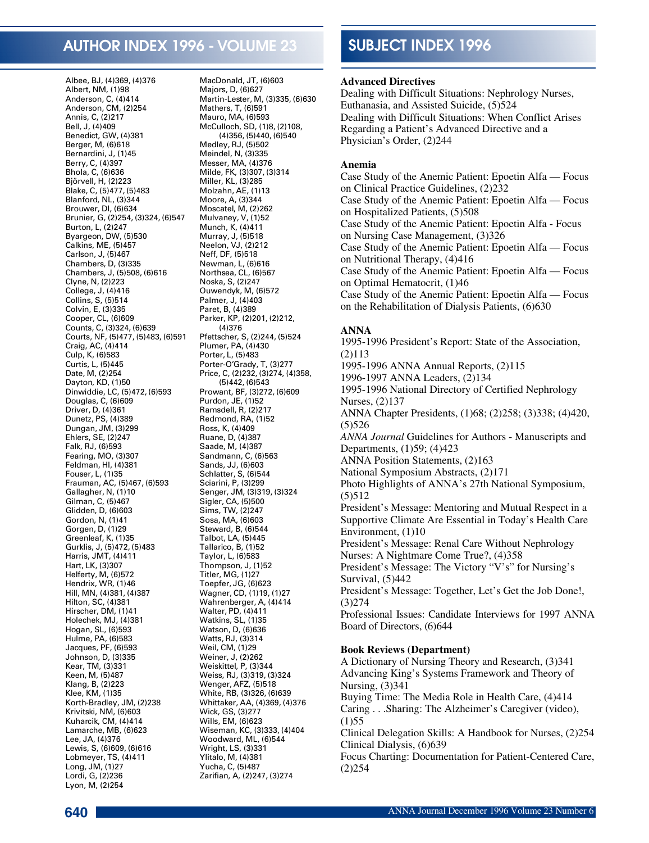# AUTHOR INDEX 1996 - VOLUME 23

Albee, BJ, (4)369, (4)376 Albert, NM, (1)98 Anderson, C, (4)414 Anderson, CM, (2)254 Annis, C, (2)217 Bell, J, (4)409 Benedict, GW, (4)381 Berger, M, (6)618 Bernardini, J, (1)45 Berry, C, (4)397 Bhola, C, (6)636 Björvell, H, (2)223 Blake, C, (5)477, (5)483 Blanford, NL, (3)344 Brouwer, DI, (6)634 Brunier, G, (2)254, (3)324, (6)547 Burton, L, (2)247 Byargeon, DW, (5)530 Calkins, ME, (5)457 Carlson, J, (5)467 Chambers, D, (3)335 Chambers, J, (5)508, (6)616 Clyne, N, (2)223 College, J, (4)416 Collins, S, (5)514 Colvin, E, (3)335 Cooper, CL, (6)609 Counts, C, (3)324, (6)639 Courts, NF, (5)477, (5)483, (6)591 Craig, AC, (4)414 Culp, K, (6)583 Curtis, L, (5)445 Date, M, (2)254 Dayton, KD, (1)50 Dinwiddie, LC, (5)472, (6)593 Douglas, C, (6)609 Driver, D, (4)361 Dunetz, PS, (4)389 Dungan, JM, (3)299 Ehlers, SE, (2)247 Falk, RJ, (6)593 Fearing, MO, (3)307 Feldman, HI, (4)381 Fouser, L, (1)35 Frauman, AC, (5)467, (6)593 Gallagher, N, (1)10 Gilman, C, (5)467 Glidden, D, (6)603 Gordon, N, (1)41 Gorgen, D, (1)29 Greenleaf, K, (1)35 Gurklis, J, (5)472, (5)483 Harris, JMT, (4)411 Hart, LK, (3)307 Helferty, M, (6)572 Hendrix, WR, (1)46 Hill, MN, (4)381, (4)387 Hilton, SC, (4)381 Hirscher, DM, (1)41 Holechek, MJ, (4)381 Hogan, SL, (6)593 Hulme, PA, (6)583 Jacques, PF, (6)593 Johnson, D, (3)335 Kear, TM, (3)331 Keen, M, (5)487 Klang, B, (2)223 Klee, KM, (1)35 Korth-Bradley, JM, (2)238 Krivitski, NM, (6)603 Kuharcik, CM, (4)414 Lamarche, MB, (6)623 Lee, JA, (4)376 Lewis, S, (6)609, (6)616 Lobmeyer, TS, (4)411 Long, JM, (1)27 Lordi, G, (2)236 Lyon, M, (2)254

MacDonald, JT, (6)603 Majors, D, (6)627 Martin-Lester, M, (3)335, (6)630 Mathers, T, (6)591 Mauro, MA, (6)593 McCulloch, SD, (1)8, (2)108, (4)356, (5)440, (6)540 Medley, RJ, (5)502 Meindel, N, (3)335 Messer, MA, (4)376 Milde, FK, (3)307, (3)314 Miller, KL, (3)285 Molzahn, AE, (1)13 Moore, A, (3)344 Moscatel, M, (2)262 Mulvaney, V, (1)52 Munch, K, (4)411 Murray, J, (5)518 Neelon, VJ, (2)212 Neff, DF, (5)518 Newman, L, (6)616 Northsea, CL, (6)567 Noska, S, (2)247 Ouwendyk, M, (6)572 Palmer, J, (4)403 Paret, B, (4)389 Parker, KP, (2)201, (2)212,  $(4)376$ Pfettscher, S, (2)244, (5)524 Plumer, PA, (4)430 Porter, L, (5)483 Porter-O'Grady, T, (3)277 Price, C, (2)232, (3)274, (4)358, (5)442, (6)543 Prowant, BF, (3)272, (6)609 Purdon, JE, (1)52 Ramsdell, R, (2)217 Redmond, RA, (1)52 Ross, K, (4)409 Ruane, D, (4)387 Saade, M, (4)387 Sandmann, C, (6)563 Sands, JJ, (6)603 Schlatter, S, (6)544 Sciarini, P, (3)299 Senger, JM, (3)319, (3)324 Sigler, CA, (5)500 Sims, TW, (2)247 Sosa, MA, (6)603 Steward, B, (6)544 Talbot, LA, (5)445 Tallarico, B, (1)52 Taylor, L, (6)583 Thompson, J, (1)52 Titler, MG, (1)27 Toepfer, JG, (6)623 Wagner, CD, (1)19, (1)27 Wahrenberger, A, (4)414 Walter, PD, (4)411 Watkins, SL, (1)35 Watson, D, (6)636 Watts, RJ, (3)314 Weil, CM, (1)29 Weiner, J, (2)262 Weiskittel, P, (3)344 Weiss, RJ, (3)319, (3)324 Wenger, AFZ, (5)518 White, RB, (3)326, (6)639 Whittaker, AA, (4)369, (4)376 Wick, GS, (3)277 Wills, EM, (6)623 Wiseman, KC, (3)333, (4)404 Woodward, ML, (6)544 Wright, LS, (3)331 Ylitalo, M, (4)381 Yucha, C, (5)487 Zarifian, A, (2)247, (3)274

# SUBJECT INDEX 1996

#### **Advanced Directives**

Dealing with Difficult Situations: Nephrology Nurses, Euthanasia, and Assisted Suicide, (5)524 Dealing with Difficult Situations: When Conflict Arises Regarding a Patient's Advanced Directive and a Physician's Order, (2)244

#### **Anemia**

Case Study of the Anemic Patient: Epoetin Alfa — Focus on Clinical Practice Guidelines, (2)232 Case Study of the Anemic Patient: Epoetin Alfa — Focus on Hospitalized Patients, (5)508 Case Study of the Anemic Patient: Epoetin Alfa - Focus on Nursing Case Management, (3)326 Case Study of the Anemic Patient: Epoetin Alfa — Focus on Nutritional Therapy, (4)416 Case Study of the Anemic Patient: Epoetin Alfa — Focus on Optimal Hematocrit, (1)46 Case Study of the Anemic Patient: Epoetin Alfa — Focus on the Rehabilitation of Dialysis Patients, (6)630

#### **ANNA**

1995-1996 President's Report: State of the Association, (2)113 1995-1996 ANNA Annual Reports, (2)115 1996-1997 ANNA Leaders, (2)134 1995-1996 National Directory of Certified Nephrology Nurses, (2)137 ANNA Chapter Presidents, (1)68; (2)258; (3)338; (4)420, (5)526 *ANNA Journal* Guidelines for Authors - Manuscripts and Departments, (1)59; (4)423 ANNA Position Statements, (2)163 National Symposium Abstracts, (2)171 Photo Highlights of ANNA's 27th National Symposium, (5)512 President's Message: Mentoring and Mutual Respect in a Supportive Climate Are Essential in Today's Health Care Environment, (1)10 President's Message: Renal Care Without Nephrology Nurses: A Nightmare Come True?, (4)358 President's Message: The Victory "V's" for Nursing's Survival, (5)442 President's Message: Together, Let's Get the Job Done!, (3)274 Professional Issues: Candidate Interviews for 1997 ANNA Board of Directors, (6)644

#### **Book Reviews (Department)**

A Dictionary of Nursing Theory and Research, (3)341 Advancing King's Systems Framework and Theory of Nursing, (3)341 Buying Time: The Media Role in Health Care, (4)414 Caring . . .Sharing: The Alzheimer's Caregiver (video),  $(1)55$ Clinical Delegation Skills: A Handbook for Nurses, (2)254 Clinical Dialysis, (6)639 Focus Charting: Documentation for Patient-Centered Care, (2)254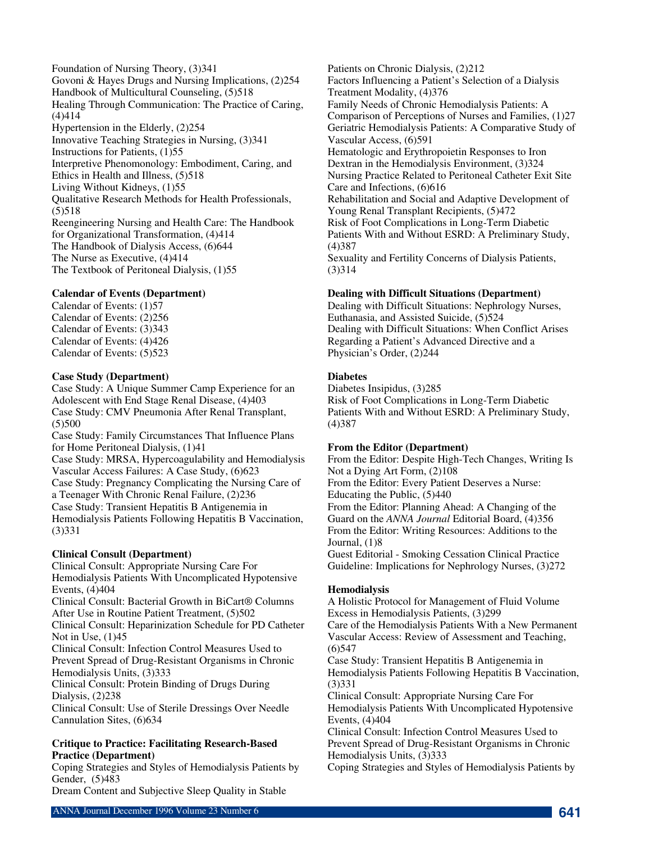Foundation of Nursing Theory, (3)341 Govoni & Hayes Drugs and Nursing Implications, (2)254 Handbook of Multicultural Counseling, (5)518 Healing Through Communication: The Practice of Caring, (4)414 Hypertension in the Elderly, (2)254 Innovative Teaching Strategies in Nursing, (3)341 Instructions for Patients, (1)55 Interpretive Phenomonology: Embodiment, Caring, and Ethics in Health and Illness, (5)518 Living Without Kidneys, (1)55 Qualitative Research Methods for Health Professionals, (5)518 Reengineering Nursing and Health Care: The Handbook for Organizational Transformation, (4)414 The Handbook of Dialysis Access, (6)644 The Nurse as Executive, (4)414 The Textbook of Peritoneal Dialysis, (1)55

### **Calendar of Events (Department)**

Calendar of Events: (1)57 Calendar of Events: (2)256 Calendar of Events: (3)343 Calendar of Events: (4)426 Calendar of Events: (5)523

### **Case Study (Department)**

Case Study: A Unique Summer Camp Experience for an Adolescent with End Stage Renal Disease, (4)403 Case Study: CMV Pneumonia After Renal Transplant,  $(5)500$ 

Case Study: Family Circumstances That Influence Plans for Home Peritoneal Dialysis, (1)41 Case Study: MRSA, Hypercoagulability and Hemodialysis Vascular Access Failures: A Case Study, (6)623 Case Study: Pregnancy Complicating the Nursing Care of a Teenager With Chronic Renal Failure, (2)236 Case Study: Transient Hepatitis B Antigenemia in Hemodialysis Patients Following Hepatitis B Vaccination, (3)331

# **Clinical Consult (Department)**

Clinical Consult: Appropriate Nursing Care For Hemodialysis Patients With Uncomplicated Hypotensive Events, (4)404

Clinical Consult: Bacterial Growth in BiCart® Columns After Use in Routine Patient Treatment, (5)502

Clinical Consult: Heparinization Schedule for PD Catheter Not in Use, (1)45

Clinical Consult: Infection Control Measures Used to Prevent Spread of Drug-Resistant Organisms in Chronic Hemodialysis Units, (3)333

Clinical Consult: Protein Binding of Drugs During Dialysis, (2)238

Clinical Consult: Use of Sterile Dressings Over Needle Cannulation Sites, (6)634

### **Critique to Practice: Facilitating Research-Based Practice (Department)**

Coping Strategies and Styles of Hemodialysis Patients by Gender, (5)483

Dream Content and Subjective Sleep Quality in Stable

Patients on Chronic Dialysis, (2)212 Factors Influencing a Patient's Selection of a Dialysis Treatment Modality, (4)376 Family Needs of Chronic Hemodialysis Patients: A Comparison of Perceptions of Nurses and Families, (1)27 Geriatric Hemodialysis Patients: A Comparative Study of Vascular Access, (6)591 Hematologic and Erythropoietin Responses to Iron Dextran in the Hemodialysis Environment, (3)324 Nursing Practice Related to Peritoneal Catheter Exit Site Care and Infections, (6)616 Rehabilitation and Social and Adaptive Development of Young Renal Transplant Recipients, (5)472 Risk of Foot Complications in Long-Term Diabetic Patients With and Without ESRD: A Preliminary Study, (4)387 Sexuality and Fertility Concerns of Dialysis Patients, (3)314

### **Dealing with Difficult Situations (Department)**

Dealing with Difficult Situations: Nephrology Nurses, Euthanasia, and Assisted Suicide, (5)524 Dealing with Difficult Situations: When Conflict Arises Regarding a Patient's Advanced Directive and a Physician's Order, (2)244

# **Diabetes**

Diabetes Insipidus, (3)285 Risk of Foot Complications in Long-Term Diabetic Patients With and Without ESRD: A Preliminary Study, (4)387

### **From the Editor (Department)**

From the Editor: Despite High-Tech Changes, Writing Is Not a Dying Art Form, (2)108 From the Editor: Every Patient Deserves a Nurse: Educating the Public, (5)440 From the Editor: Planning Ahead: A Changing of the Guard on the *ANNA Journal* Editorial Board, (4)356 From the Editor: Writing Resources: Additions to the Journal, (1)8 Guest Editorial - Smoking Cessation Clinical Practice Guideline: Implications for Nephrology Nurses, (3)272

### **Hemodialysis**

A Holistic Protocol for Management of Fluid Volume Excess in Hemodialysis Patients, (3)299 Care of the Hemodialysis Patients With a New Permanent Vascular Access: Review of Assessment and Teaching, (6)547 Case Study: Transient Hepatitis B Antigenemia in Hemodialysis Patients Following Hepatitis B Vaccination, (3)331 Clinical Consult: Appropriate Nursing Care For Hemodialysis Patients With Uncomplicated Hypotensive Events, (4)404 Clinical Consult: Infection Control Measures Used to

Prevent Spread of Drug-Resistant Organisms in Chronic Hemodialysis Units, (3)333

Coping Strategies and Styles of Hemodialysis Patients by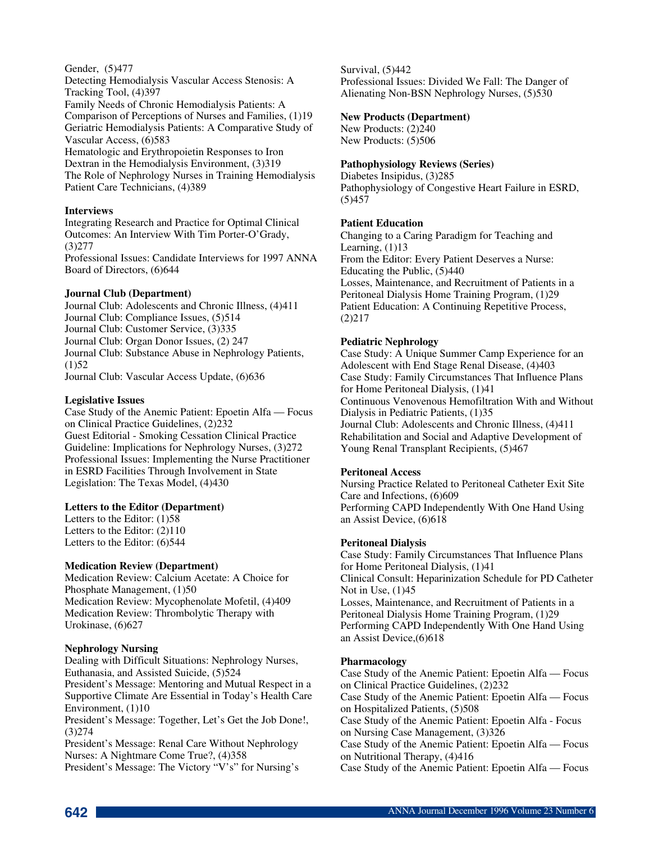#### Gender, (5)477 Detecting Hemodialysis Vascular Access Stenosis: A Tracking Tool, (4)397 Family Needs of Chronic Hemodialysis Patients: A Comparison of Perceptions of Nurses and Families, (1)19 Geriatric Hemodialysis Patients: A Comparative Study of Vascular Access, (6)583 Hematologic and Erythropoietin Responses to Iron Dextran in the Hemodialysis Environment, (3)319

The Role of Nephrology Nurses in Training Hemodialysis Patient Care Technicians, (4)389

# **Interviews**

Integrating Research and Practice for Optimal Clinical Outcomes: An Interview With Tim Porter-O'Grady, (3)277 Professional Issues: Candidate Interviews for 1997 ANNA

Board of Directors, (6)644

**Journal Club (Department)** Journal Club: Adolescents and Chronic Illness, (4)411 Journal Club: Compliance Issues, (5)514 Journal Club: Customer Service, (3)335 Journal Club: Organ Donor Issues, (2) 247 Journal Club: Substance Abuse in Nephrology Patients,  $(1)52$ Journal Club: Vascular Access Update, (6)636

# **Legislative Issues**

Case Study of the Anemic Patient: Epoetin Alfa — Focus on Clinical Practice Guidelines, (2)232 Guest Editorial - Smoking Cessation Clinical Practice Guideline: Implications for Nephrology Nurses, (3)272 Professional Issues: Implementing the Nurse Practitioner in ESRD Facilities Through Involvement in State Legislation: The Texas Model, (4)430

# **Letters to the Editor (Department)**

Letters to the Editor: (1)58 Letters to the Editor: (2)110 Letters to the Editor: (6)544

### **Medication Review (Department)**

Medication Review: Calcium Acetate: A Choice for Phosphate Management, (1)50 Medication Review: Mycophenolate Mofetil, (4)409 Medication Review: Thrombolytic Therapy with Urokinase, (6)627

### **Nephrology Nursing**

Dealing with Difficult Situations: Nephrology Nurses, Euthanasia, and Assisted Suicide, (5)524

President's Message: Mentoring and Mutual Respect in a Supportive Climate Are Essential in Today's Health Care Environment, (1)10

President's Message: Together, Let's Get the Job Done!, (3)274

President's Message: Renal Care Without Nephrology Nurses: A Nightmare Come True?, (4)358 President's Message: The Victory "V's" for Nursing's Survival, (5)442 Professional Issues: Divided We Fall: The Danger of Alienating Non-BSN Nephrology Nurses, (5)530

## **New Products (Department)**

New Products: (2)240 New Products: (5)506

# **Pathophysiology Reviews (Series)**

Diabetes Insipidus, (3)285 Pathophysiology of Congestive Heart Failure in ESRD, (5)457

# **Patient Education**

Changing to a Caring Paradigm for Teaching and Learning,  $(1)13$ From the Editor: Every Patient Deserves a Nurse: Educating the Public, (5)440 Losses, Maintenance, and Recruitment of Patients in a Peritoneal Dialysis Home Training Program, (1)29 Patient Education: A Continuing Repetitive Process, (2)217

# **Pediatric Nephrology**

Case Study: A Unique Summer Camp Experience for an Adolescent with End Stage Renal Disease, (4)403 Case Study: Family Circumstances That Influence Plans for Home Peritoneal Dialysis, (1)41 Continuous Venovenous Hemofiltration With and Without Dialysis in Pediatric Patients, (1)35 Journal Club: Adolescents and Chronic Illness, (4)411 Rehabilitation and Social and Adaptive Development of Young Renal Transplant Recipients, (5)467

### **Peritoneal Access**

Nursing Practice Related to Peritoneal Catheter Exit Site Care and Infections, (6)609 Performing CAPD Independently With One Hand Using an Assist Device, (6)618

### **Peritoneal Dialysis**

Case Study: Family Circumstances That Influence Plans for Home Peritoneal Dialysis, (1)41 Clinical Consult: Heparinization Schedule for PD Catheter Not in Use, (1)45 Losses, Maintenance, and Recruitment of Patients in a Peritoneal Dialysis Home Training Program, (1)29 Performing CAPD Independently With One Hand Using an Assist Device,(6)618

### **Pharmacology**

Case Study of the Anemic Patient: Epoetin Alfa — Focus on Clinical Practice Guidelines, (2)232 Case Study of the Anemic Patient: Epoetin Alfa — Focus on Hospitalized Patients, (5)508 Case Study of the Anemic Patient: Epoetin Alfa - Focus on Nursing Case Management, (3)326 Case Study of the Anemic Patient: Epoetin Alfa — Focus on Nutritional Therapy, (4)416 Case Study of the Anemic Patient: Epoetin Alfa — Focus